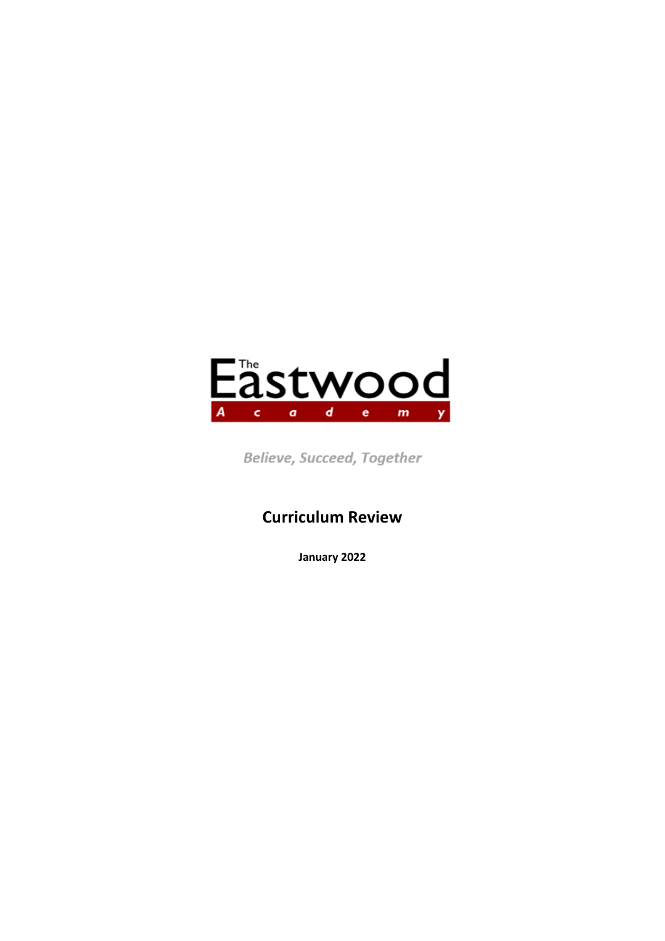

Believe, Succeed, Together

# **Curriculum Review**

**January 2022**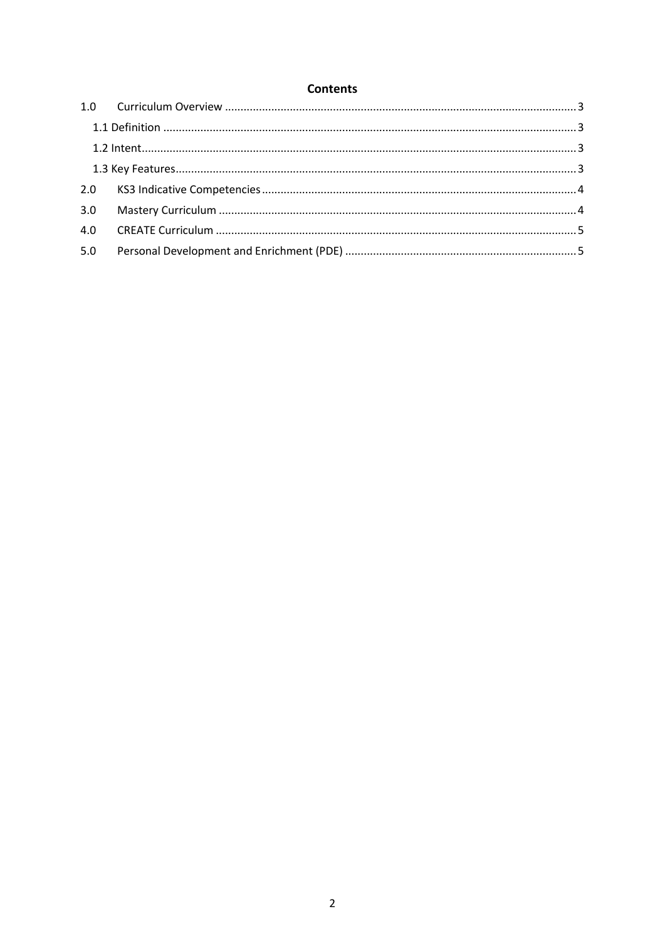### **Contents**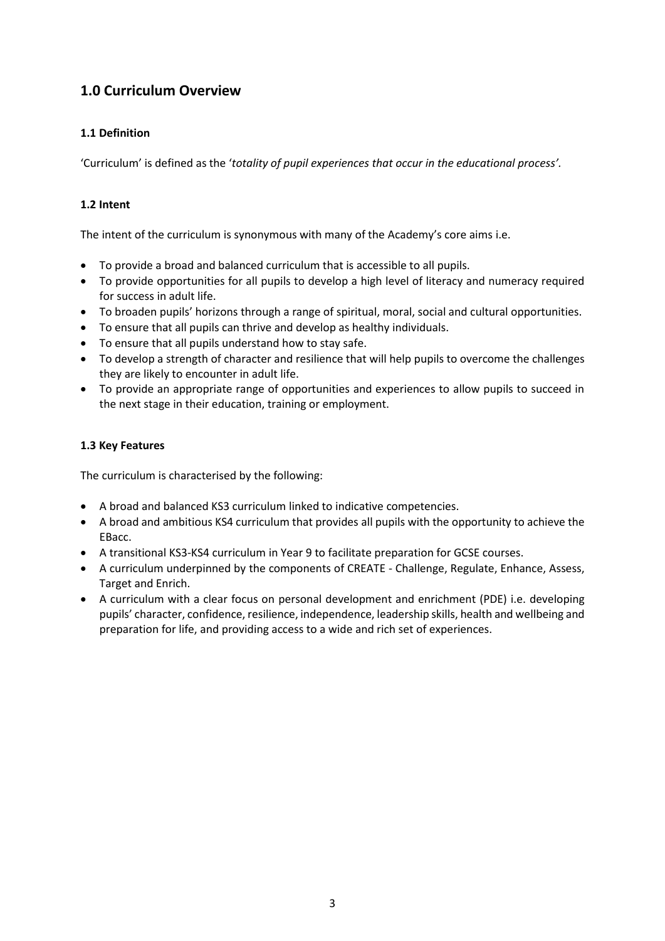# <span id="page-2-0"></span>**1.0 Curriculum Overview**

#### <span id="page-2-1"></span>**1.1 Definition**

'Curriculum' is defined as the '*totality of pupil experiences that occur in the educational process'.*

#### <span id="page-2-2"></span>**1.2 Intent**

The intent of the curriculum is synonymous with many of the Academy's core aims i.e.

- To provide a broad and balanced curriculum that is accessible to all pupils.
- To provide opportunities for all pupils to develop a high level of literacy and numeracy required for success in adult life.
- To broaden pupils' horizons through a range of spiritual, moral, social and cultural opportunities.
- To ensure that all pupils can thrive and develop as healthy individuals.
- To ensure that all pupils understand how to stay safe.
- To develop a strength of character and resilience that will help pupils to overcome the challenges they are likely to encounter in adult life.
- To provide an appropriate range of opportunities and experiences to allow pupils to succeed in the next stage in their education, training or employment.

#### <span id="page-2-3"></span>**1.3 Key Features**

The curriculum is characterised by the following:

- A broad and balanced KS3 curriculum linked to indicative competencies.
- A broad and ambitious KS4 curriculum that provides all pupils with the opportunity to achieve the EBacc.
- A transitional KS3-KS4 curriculum in Year 9 to facilitate preparation for GCSE courses.
- A curriculum underpinned by the components of CREATE Challenge, Regulate, Enhance, Assess, Target and Enrich.
- A curriculum with a clear focus on personal development and enrichment (PDE) i.e. developing pupils' character, confidence, resilience, independence, leadership skills, health and wellbeing and preparation for life, and providing access to a wide and rich set of experiences.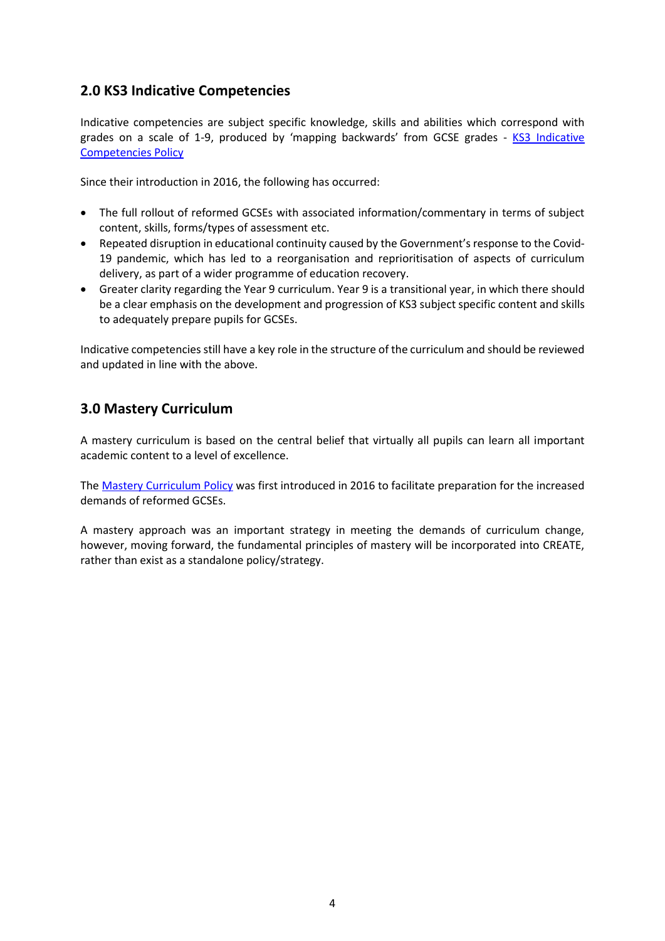## <span id="page-3-0"></span>**2.0 KS3 Indicative Competencies**

Indicative competencies are subject specific knowledge, skills and abilities which correspond with grades on a scale of 1-9, produced by 'mapping backwards' from GCSE grades - KS3 Indicative [Competencies Policy](http://www.eastwoodacademy.co.uk/docs/KS3%20Indicative%20Competencies%20Policy21.pdf)

Since their introduction in 2016, the following has occurred:

- The full rollout of reformed GCSEs with associated information/commentary in terms of subject content, skills, forms/types of assessment etc.
- Repeated disruption in educational continuity caused by the Government's response to the Covid-19 pandemic, which has led to a reorganisation and reprioritisation of aspects of curriculum delivery, as part of a wider programme of education recovery.
- Greater clarity regarding the Year 9 curriculum. Year 9 is a transitional year, in which there should be a clear emphasis on the development and progression of KS3 subject specific content and skills to adequately prepare pupils for GCSEs.

Indicative competencies still have a key role in the structure of the curriculum and should be reviewed and updated in line with the above.

## <span id="page-3-1"></span>**3.0 Mastery Curriculum**

A mastery curriculum is based on the central belief that virtually all pupils can learn all important academic content to a level of excellence.

The [Mastery Curriculum Policy](http://www.eastwoodacademy.co.uk/docs/Mastery%20Curriculum%20Policy21.pdf) was first introduced in 2016 to facilitate preparation for the increased demands of reformed GCSEs.

A mastery approach was an important strategy in meeting the demands of curriculum change, however, moving forward, the fundamental principles of mastery will be incorporated into CREATE, rather than exist as a standalone policy/strategy.